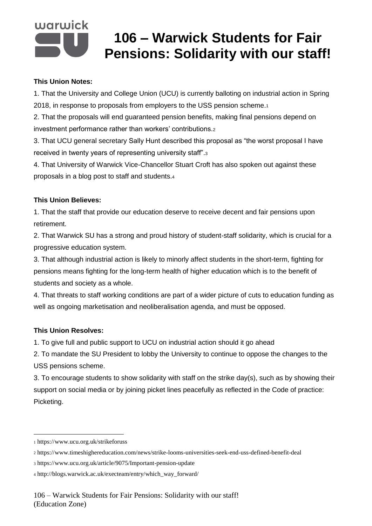# warwick

## **106 – Warwick Students for Fair Pensions: Solidarity with our staff!**

#### **This Union Notes:**

1. That the University and College Union (UCU) is currently balloting on industrial action in Spring 2018, in response to proposals from employers to the USS pension scheme.<sup>1</sup>

2. That the proposals will end guaranteed pension benefits, making final pensions depend on investment performance rather than workers' contributions.<sup>2</sup>

3. That UCU general secretary Sally Hunt described this proposal as "the worst proposal I have received in twenty years of representing university staff".<sup>3</sup>

4. That University of Warwick Vice-Chancellor Stuart Croft has also spoken out against these proposals in a blog post to staff and students.<sup>4</sup>

#### **This Union Believes:**

1. That the staff that provide our education deserve to receive decent and fair pensions upon retirement.

2. That Warwick SU has a strong and proud history of student-staff solidarity, which is crucial for a progressive education system.

3. That although industrial action is likely to minorly affect students in the short-term, fighting for pensions means fighting for the long-term health of higher education which is to the benefit of students and society as a whole.

4. That threats to staff working conditions are part of a wider picture of cuts to education funding as well as ongoing marketisation and neoliberalisation agenda, and must be opposed.

### **This Union Resolves:**

1. To give full and public support to UCU on industrial action should it go ahead

2. To mandate the SU President to lobby the University to continue to oppose the changes to the USS pensions scheme.

3. To encourage students to show solidarity with staff on the strike day(s), such as by showing their support on social media or by joining picket lines peacefully as reflected in the Code of practice: Picketing.

1

<sup>1</sup> https://www.ucu.org.uk/strikeforuss

<sup>2</sup> https://www.timeshighereducation.com/news/strike-looms-universities-seek-end-uss-defined-benefit-deal

<sup>3</sup> https://www.ucu.org.uk/article/9075/Important-pension-update

<sup>4</sup> http://blogs.warwick.ac.uk/execteam/entry/which\_way\_forward/